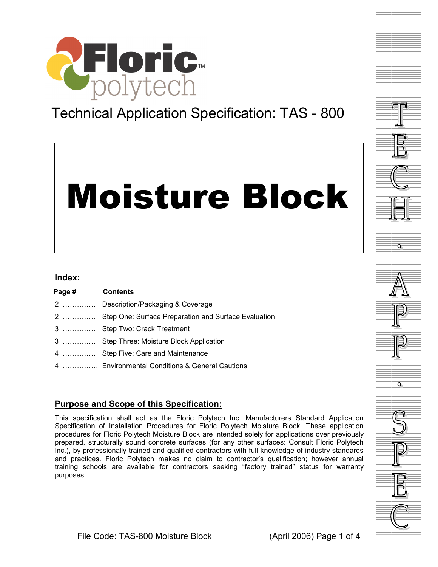

# Technical Application Specification: TAS - 800

# Moisture Block

#### **Index:**

| Page # | <b>Contents</b>                                         |
|--------|---------------------------------------------------------|
|        | 2  Description/Packaging & Coverage                     |
|        | 2  Step One: Surface Preparation and Surface Evaluation |
|        | 3  Step Two: Crack Treatment                            |
|        | 3  Step Three: Moisture Block Application               |
|        | 4  Step Five: Care and Maintenance                      |
|        | 4  Environmental Conditions & General Cautions          |

# **Purpose and Scope of this Specification:**

This specification shall act as the Floric Polytech Inc. Manufacturers Standard Application Specification of Installation Procedures for Floric Polytech Moisture Block. These application procedures for Floric Polytech Moisture Block are intended solely for applications over previously prepared, structurally sound concrete surfaces (for any other surfaces: Consult Floric Polytech Inc.), by professionally trained and qualified contractors with full knowledge of industry standards and practices. Floric Polytech makes no claim to contractor's qualification; however annual training schools are available for contractors seeking "factory trained" status for warranty purposes.

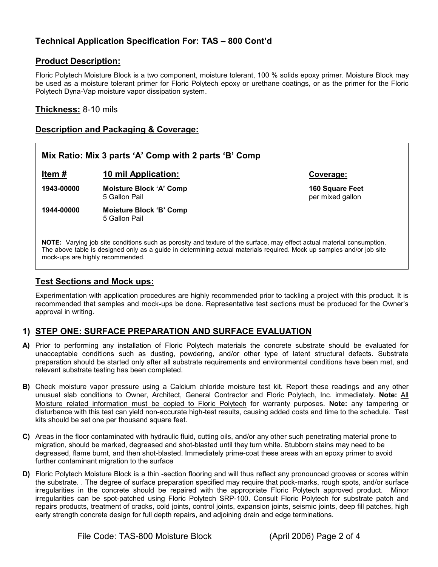# **Technical Application Specification For: TAS – 800 Cont'd**

#### **Product Description:**

Floric Polytech Moisture Block is a two component, moisture tolerant, 100 % solids epoxy primer. Moisture Block may be used as a moisture tolerant primer for Floric Polytech epoxy or urethane coatings, or as the primer for the Floric Polytech Dyna-Vap moisture vapor dissipation system.

**Thickness:** 8-10 mils

#### **Description and Packaging & Coverage:**



The above table is designed only as a guide in determining actual materials required. Mock up samples and/or job site mock-ups are highly recommended.

#### **Test Sections and Mock ups:**

Experimentation with application procedures are highly recommended prior to tackling a project with this product. It is recommended that samples and mock-ups be done. Representative test sections must be produced for the Owner's approval in writing.

#### **1) STEP ONE: SURFACE PREPARATION AND SURFACE EVALUATION**

- **A)** Prior to performing any installation of Floric Polytech materials the concrete substrate should be evaluated for unacceptable conditions such as dusting, powdering, and/or other type of latent structural defects. Substrate preparation should be started only after all substrate requirements and environmental conditions have been met, and relevant substrate testing has been completed.
- **B)** Check moisture vapor pressure using a Calcium chloride moisture test kit. Report these readings and any other unusual slab conditions to Owner, Architect, General Contractor and Floric Polytech, Inc. immediately. **Note:** All Moisture related information must be copied to Floric Polytech for warranty purposes. **Note:** any tampering or disturbance with this test can yield non-accurate high-test results, causing added costs and time to the schedule. Test kits should be set one per thousand square feet.
- **C)** Areas in the floor contaminated with hydraulic fluid, cutting oils, and/or any other such penetrating material prone to migration, should be marked, degreased and shot-blasted until they turn white. Stubborn stains may need to be degreased, flame burnt, and then shot-blasted. Immediately prime-coat these areas with an epoxy primer to avoid further contaminant migration to the surface
- **D)** Floric Polytech Moisture Block is a thin -section flooring and will thus reflect any pronounced grooves or scores within the substrate. . The degree of surface preparation specified may require that pock-marks, rough spots, and/or surface irregularities in the concrete should be repaired with the appropriate Floric Polytech approved product. Minor irregularities can be spot-patched using Floric Polytech SRP-100. Consult Floric Polytech for substrate patch and repairs products, treatment of cracks, cold joints, control joints, expansion joints, seismic joints, deep fill patches, high early strength concrete design for full depth repairs, and adjoining drain and edge terminations.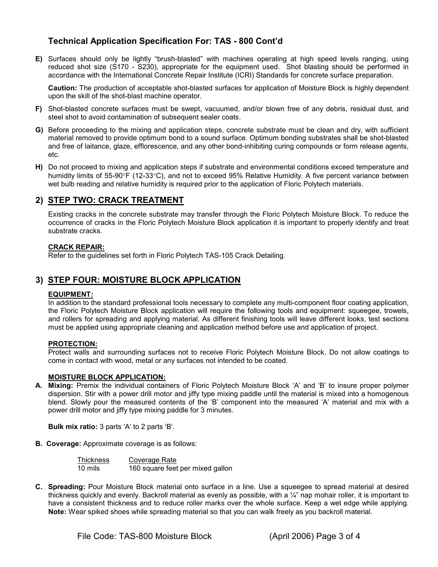## **Technical Application Specification For: TAS - 800 Cont'd**

**E)** Surfaces should only be lightly "brush-blasted" with machines operating at high speed levels ranging, using reduced shot size (S170 - S230), appropriate for the equipment used. Shot blasting should be performed in accordance with the International Concrete Repair Institute (ICRI) Standards for concrete surface preparation.

**Caution:** The production of acceptable shot-blasted surfaces for application of Moisture Block is highly dependent upon the skill of the shot-blast machine operator.

- **F)** Shot-blasted concrete surfaces must be swept, vacuumed, and/or blown free of any debris, residual dust, and steel shot to avoid contamination of subsequent sealer coats.
- **G)** Before proceeding to the mixing and application steps, concrete substrate must be clean and dry, with sufficient material removed to provide optimum bond to a sound surface. Optimum bonding substrates shall be shot-blasted and free of laitance, glaze, efflorescence, and any other bond-inhibiting curing compounds or form release agents, etc.
- **H)** Do not proceed to mixing and application steps if substrate and environmental conditions exceed temperature and humidity limits of 55-90°F (12-33°C), and not to exceed 95% Relative Humidity. A five percent variance between wet bulb reading and relative humidity is required prior to the application of Floric Polytech materials.

#### **2) STEP TWO: CRACK TREATMENT**

Existing cracks in the concrete substrate may transfer through the Floric Polytech Moisture Block. To reduce the occurrence of cracks in the Floric Polytech Moisture Block application it is important to properly identify and treat substrate cracks.

#### **CRACK REPAIR:**

Refer to the guidelines set forth in Floric Polytech TAS-105 Crack Detailing.

#### **3) STEP FOUR: MOISTURE BLOCK APPLICATION**

#### **EQUIPMENT***:*

In addition to the standard professional tools necessary to complete any multi-component floor coating application, the Floric Polytech Moisture Block application will require the following tools and equipment: squeegee, trowels, and rollers for spreading and applying material. As different finishing tools will leave different looks, test sections must be applied using appropriate cleaning and application method before use and application of project.

#### **PROTECTION:**

Protect walls and surrounding surfaces not to receive Floric Polytech Moisture Block. Do not allow coatings to come in contact with wood, metal or any surfaces not intended to be coated.

#### **MOISTURE BLOCK APPLICATION:**

**A. Mixing:** Premix the individual containers of Floric Polytech Moisture Block 'A' and 'B' to insure proper polymer dispersion. Stir with a power drill motor and jiffy type mixing paddle until the material is mixed into a homogenous blend. Slowly pour the measured contents of the 'B' component into the measured 'A' material and mix with a power drill motor and jiffy type mixing paddle for 3 minutes.

**Bulk mix ratio:** 3 parts 'A' to 2 parts 'B'.

**B. Coverage:** Approximate coverage is as follows:

| <b>Thickness</b> | Coverage Rate                    |
|------------------|----------------------------------|
| 10 mils          | 160 square feet per mixed gallon |

**C. Spreading:** Pour Moisture Block material onto surface in a line. Use a squeegee to spread material at desired thickness quickly and evenly. Backroll material as evenly as possible, with a ¼" nap mohair roller, it is important to have a consistent thickness and to reduce roller marks over the whole surface. Keep a wet edge while applying. **Note:** Wear spiked shoes while spreading material so that you can walk freely as you backroll material.